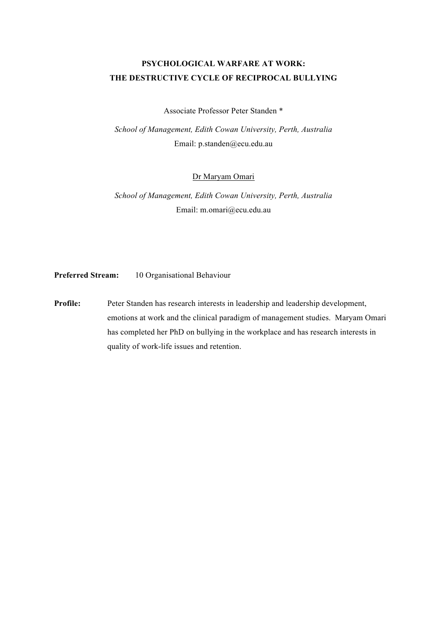# **PSYCHOLOGICAL WARFARE AT WORK: THE DESTRUCTIVE CYCLE OF RECIPROCAL BULLYING**

Associate Professor Peter Standen \*

*School of Management, Edith Cowan University, Perth, Australia*  Email: p.standen@ecu.edu.au

Dr Maryam Omari

*School of Management, Edith Cowan University, Perth, Australia*  Email: m.omari@ecu.edu.au

**Preferred Stream:** 10 Organisational Behaviour

**Profile:** Peter Standen has research interests in leadership and leadership development, emotions at work and the clinical paradigm of management studies. Maryam Omari has completed her PhD on bullying in the workplace and has research interests in quality of work-life issues and retention.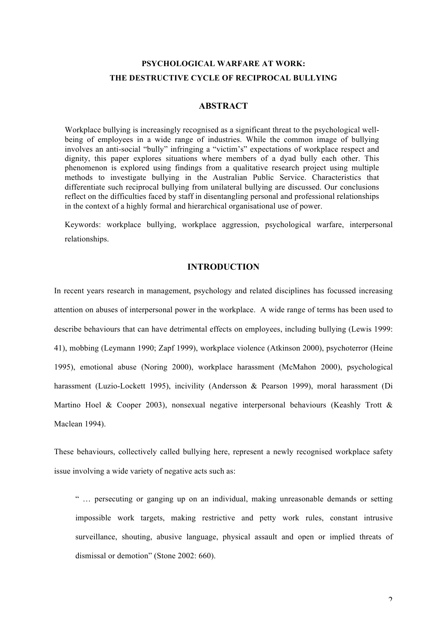# **PSYCHOLOGICAL WARFARE AT WORK: THE DESTRUCTIVE CYCLE OF RECIPROCAL BULLYING**

### **ABSTRACT**

Workplace bullying is increasingly recognised as a significant threat to the psychological wellbeing of employees in a wide range of industries. While the common image of bullying involves an anti-social "bully" infringing a "victim's" expectations of workplace respect and dignity, this paper explores situations where members of a dyad bully each other. This phenomenon is explored using findings from a qualitative research project using multiple methods to investigate bullying in the Australian Public Service. Characteristics that differentiate such reciprocal bullying from unilateral bullying are discussed. Our conclusions reflect on the difficulties faced by staff in disentangling personal and professional relationships in the context of a highly formal and hierarchical organisational use of power.

Keywords: workplace bullying, workplace aggression, psychological warfare, interpersonal relationships.

## **INTRODUCTION**

In recent years research in management, psychology and related disciplines has focussed increasing attention on abuses of interpersonal power in the workplace. A wide range of terms has been used to describe behaviours that can have detrimental effects on employees, including bullying (Lewis 1999: 41), mobbing (Leymann 1990; Zapf 1999), workplace violence (Atkinson 2000), psychoterror (Heine 1995), emotional abuse (Noring 2000), workplace harassment (McMahon 2000), psychological harassment (Luzio-Lockett 1995), incivility (Andersson & Pearson 1999), moral harassment (Di Martino Hoel & Cooper 2003), nonsexual negative interpersonal behaviours (Keashly Trott & Maclean 1994).

These behaviours, collectively called bullying here, represent a newly recognised workplace safety issue involving a wide variety of negative acts such as:

" … persecuting or ganging up on an individual, making unreasonable demands or setting impossible work targets, making restrictive and petty work rules, constant intrusive surveillance, shouting, abusive language, physical assault and open or implied threats of dismissal or demotion" (Stone 2002: 660).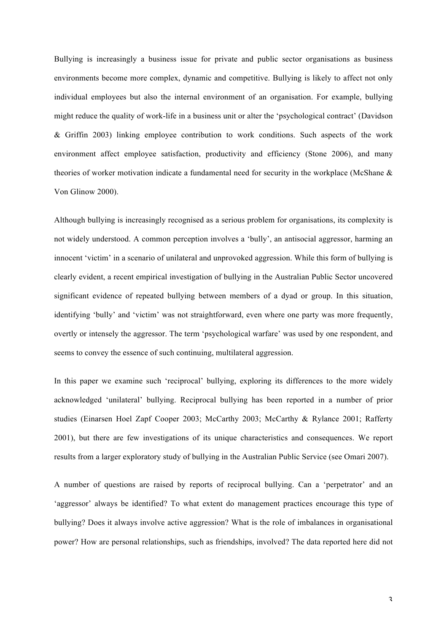Bullying is increasingly a business issue for private and public sector organisations as business environments become more complex, dynamic and competitive. Bullying is likely to affect not only individual employees but also the internal environment of an organisation. For example, bullying might reduce the quality of work-life in a business unit or alter the 'psychological contract' (Davidson & Griffin 2003) linking employee contribution to work conditions. Such aspects of the work environment affect employee satisfaction, productivity and efficiency (Stone 2006), and many theories of worker motivation indicate a fundamental need for security in the workplace (McShane & Von Glinow 2000).

Although bullying is increasingly recognised as a serious problem for organisations, its complexity is not widely understood. A common perception involves a 'bully', an antisocial aggressor, harming an innocent 'victim' in a scenario of unilateral and unprovoked aggression. While this form of bullying is clearly evident, a recent empirical investigation of bullying in the Australian Public Sector uncovered significant evidence of repeated bullying between members of a dyad or group. In this situation, identifying 'bully' and 'victim' was not straightforward, even where one party was more frequently, overtly or intensely the aggressor. The term 'psychological warfare' was used by one respondent, and seems to convey the essence of such continuing, multilateral aggression.

In this paper we examine such 'reciprocal' bullying, exploring its differences to the more widely acknowledged 'unilateral' bullying. Reciprocal bullying has been reported in a number of prior studies (Einarsen Hoel Zapf Cooper 2003; McCarthy 2003; McCarthy & Rylance 2001; Rafferty 2001), but there are few investigations of its unique characteristics and consequences. We report results from a larger exploratory study of bullying in the Australian Public Service (see Omari 2007).

A number of questions are raised by reports of reciprocal bullying. Can a 'perpetrator' and an 'aggressor' always be identified? To what extent do management practices encourage this type of bullying? Does it always involve active aggression? What is the role of imbalances in organisational power? How are personal relationships, such as friendships, involved? The data reported here did not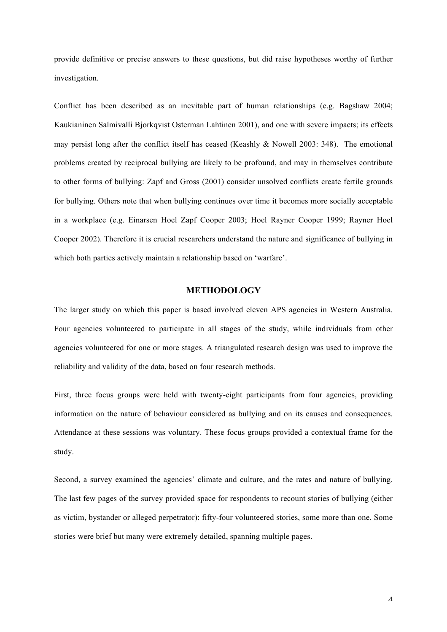provide definitive or precise answers to these questions, but did raise hypotheses worthy of further investigation.

Conflict has been described as an inevitable part of human relationships (e.g. Bagshaw 2004; Kaukianinen Salmivalli Bjorkqvist Osterman Lahtinen 2001), and one with severe impacts; its effects may persist long after the conflict itself has ceased (Keashly & Nowell 2003: 348). The emotional problems created by reciprocal bullying are likely to be profound, and may in themselves contribute to other forms of bullying: Zapf and Gross (2001) consider unsolved conflicts create fertile grounds for bullying. Others note that when bullying continues over time it becomes more socially acceptable in a workplace (e.g. Einarsen Hoel Zapf Cooper 2003; Hoel Rayner Cooper 1999; Rayner Hoel Cooper 2002). Therefore it is crucial researchers understand the nature and significance of bullying in which both parties actively maintain a relationship based on 'warfare'.

### **METHODOLOGY**

The larger study on which this paper is based involved eleven APS agencies in Western Australia. Four agencies volunteered to participate in all stages of the study, while individuals from other agencies volunteered for one or more stages. A triangulated research design was used to improve the reliability and validity of the data, based on four research methods.

First, three focus groups were held with twenty-eight participants from four agencies, providing information on the nature of behaviour considered as bullying and on its causes and consequences. Attendance at these sessions was voluntary. These focus groups provided a contextual frame for the study.

Second, a survey examined the agencies' climate and culture, and the rates and nature of bullying. The last few pages of the survey provided space for respondents to recount stories of bullying (either as victim, bystander or alleged perpetrator): fifty-four volunteered stories, some more than one. Some stories were brief but many were extremely detailed, spanning multiple pages.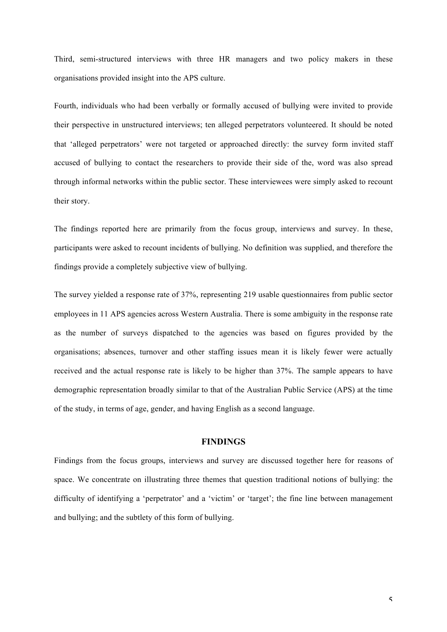Third, semi-structured interviews with three HR managers and two policy makers in these organisations provided insight into the APS culture.

Fourth, individuals who had been verbally or formally accused of bullying were invited to provide their perspective in unstructured interviews; ten alleged perpetrators volunteered. It should be noted that 'alleged perpetrators' were not targeted or approached directly: the survey form invited staff accused of bullying to contact the researchers to provide their side of the, word was also spread through informal networks within the public sector. These interviewees were simply asked to recount their story.

The findings reported here are primarily from the focus group, interviews and survey. In these, participants were asked to recount incidents of bullying. No definition was supplied, and therefore the findings provide a completely subjective view of bullying.

The survey yielded a response rate of 37%, representing 219 usable questionnaires from public sector employees in 11 APS agencies across Western Australia. There is some ambiguity in the response rate as the number of surveys dispatched to the agencies was based on figures provided by the organisations; absences, turnover and other staffing issues mean it is likely fewer were actually received and the actual response rate is likely to be higher than 37%. The sample appears to have demographic representation broadly similar to that of the Australian Public Service (APS) at the time of the study, in terms of age, gender, and having English as a second language.

## **FINDINGS**

Findings from the focus groups, interviews and survey are discussed together here for reasons of space. We concentrate on illustrating three themes that question traditional notions of bullying: the difficulty of identifying a 'perpetrator' and a 'victim' or 'target'; the fine line between management and bullying; and the subtlety of this form of bullying.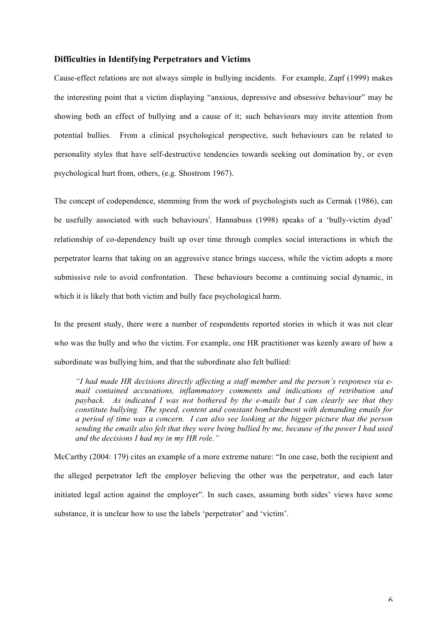#### **Difficulties in Identifying Perpetrators and Victims**

Cause-effect relations are not always simple in bullying incidents. For example, Zapf (1999) makes the interesting point that a victim displaying "anxious, depressive and obsessive behaviour" may be showing both an effect of bullying and a cause of it; such behaviours may invite attention from potential bullies. From a clinical psychological perspective, such behaviours can be related to personality styles that have self-destructive tendencies towards seeking out domination by, or even psychological hurt from, others, (e.g. Shostrom 1967).

The concept of codependence, stemming from the work of psychologists such as Cermak (1986), can be usefully associated with such behaviours<sup>i</sup>. Hannabuss (1998) speaks of a 'bully-victim dyad' relationship of co-dependency built up over time through complex social interactions in which the perpetrator learns that taking on an aggressive stance brings success, while the victim adopts a more submissive role to avoid confrontation. These behaviours become a continuing social dynamic, in which it is likely that both victim and bully face psychological harm.

In the present study, there were a number of respondents reported stories in which it was not clear who was the bully and who the victim. For example, one HR practitioner was keenly aware of how a subordinate was bullying him, and that the subordinate also felt bullied:

*"I had made HR decisions directly affecting a staff member and the person's responses via email contained accusations, inflammatory comments and indications of retribution and payback. As indicated I was not bothered by the e-mails but I can clearly see that they constitute bullying. The speed, content and constant bombardment with demanding emails for a period of time was a concern. I can also see looking at the bigger picture that the person sending the emails also felt that they were being bullied by me, because of the power I had used and the decisions I had my in my HR role."*

McCarthy (2004: 179) cites an example of a more extreme nature: "In one case, both the recipient and the alleged perpetrator left the employer believing the other was the perpetrator, and each later initiated legal action against the employer". In such cases, assuming both sides' views have some substance, it is unclear how to use the labels 'perpetrator' and 'victim'.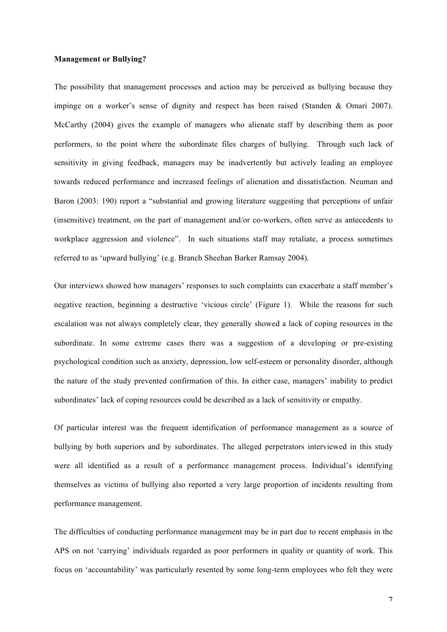#### **Management or Bullying?**

The possibility that management processes and action may be perceived as bullying because they impinge on a worker's sense of dignity and respect has been raised (Standen & Omari 2007). McCarthy (2004) gives the example of managers who alienate staff by describing them as poor performers, to the point where the subordinate files charges of bullying. Through such lack of sensitivity in giving feedback, managers may be inadvertently but actively leading an employee towards reduced performance and increased feelings of alienation and dissatisfaction. Neuman and Baron (2003: 190) report a "substantial and growing literature suggesting that perceptions of unfair (insensitive) treatment, on the part of management and/or co-workers, often serve as antecedents to workplace aggression and violence". In such situations staff may retaliate, a process sometimes referred to as 'upward bullying' (e.g. Branch Sheehan Barker Ramsay 2004).

Our interviews showed how managers' responses to such complaints can exacerbate a staff member's negative reaction, beginning a destructive 'vicious circle' (Figure 1). While the reasons for such escalation was not always completely clear, they generally showed a lack of coping resources in the subordinate. In some extreme cases there was a suggestion of a developing or pre-existing psychological condition such as anxiety, depression, low self-esteem or personality disorder, although the nature of the study prevented confirmation of this. In either case, managers' inability to predict subordinates' lack of coping resources could be described as a lack of sensitivity or empathy.

Of particular interest was the frequent identification of performance management as a source of bullying by both superiors and by subordinates. The alleged perpetrators interviewed in this study were all identified as a result of a performance management process. Individual's identifying themselves as victims of bullying also reported a very large proportion of incidents resulting from performance management.

The difficulties of conducting performance management may be in part due to recent emphasis in the APS on not 'carrying' individuals regarded as poor performers in quality or quantity of work. This focus on 'accountability' was particularly resented by some long-term employees who felt they were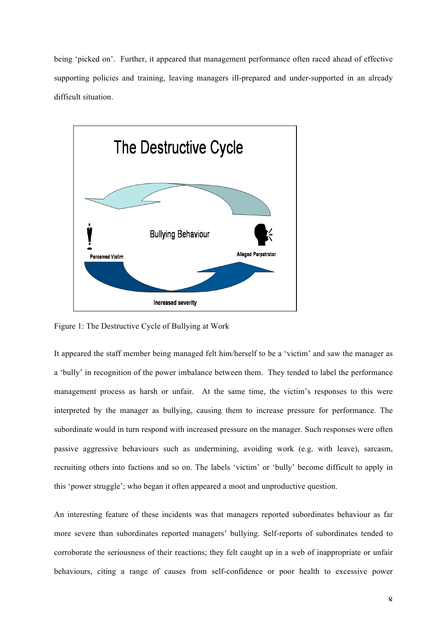being 'picked on'. Further, it appeared that management performance often raced ahead of effective supporting policies and training, leaving managers ill-prepared and under-supported in an already difficult situation.



Figure 1: The Destructive Cycle of Bullying at Work

It appeared the staff member being managed felt him/herself to be a 'victim' and saw the manager as a 'bully' in recognition of the power imbalance between them. They tended to label the performance management process as harsh or unfair. At the same time, the victim's responses to this were interpreted by the manager as bullying, causing them to increase pressure for performance. The subordinate would in turn respond with increased pressure on the manager. Such responses were often passive aggressive behaviours such as undermining, avoiding work (e.g. with leave), sarcasm, recruiting others into factions and so on. The labels 'victim' or 'bully' become difficult to apply in this 'power struggle'; who began it often appeared a moot and unproductive question.

An interesting feature of these incidents was that managers reported subordinates behaviour as far more severe than subordinates reported managers' bullying. Self-reports of subordinates tended to corroborate the seriousness of their reactions; they felt caught up in a web of inappropriate or unfair behaviours, citing a range of causes from self-confidence or poor health to excessive power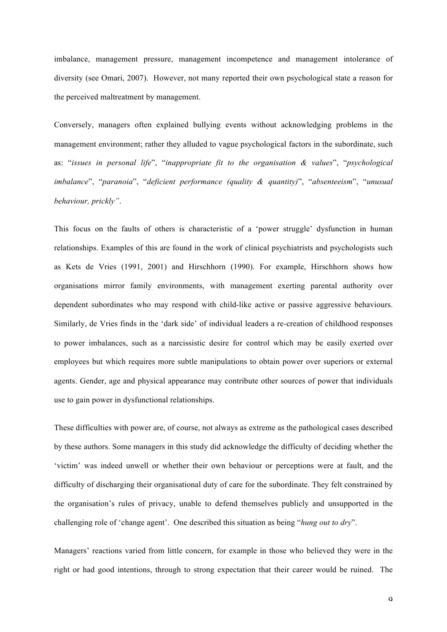imbalance, management pressure, management incompetence and management intolerance of diversity (see Omari, 2007). However, not many reported their own psychological state a reason for the perceived maltreatment by management.

Conversely, managers often explained bullying events without acknowledging problems in the management environment; rather they alluded to vague psychological factors in the subordinate, such as: "*issues in personal life*", "*inappropriate fit to the organisation & values*", "*psychological imbalance*", "*paranoia*", "*deficient performance (quality & quantity)*", "*absenteeism*", "*unusual behaviour, prickly"*.

This focus on the faults of others is characteristic of a 'power struggle' dysfunction in human relationships. Examples of this are found in the work of clinical psychiatrists and psychologists such as Kets de Vries (1991, 2001) and Hirschhorn (1990). For example, Hirschhorn shows how organisations mirror family environments, with management exerting parental authority over dependent subordinates who may respond with child-like active or passive aggressive behaviours. Similarly, de Vries finds in the 'dark side' of individual leaders a re-creation of childhood responses to power imbalances, such as a narcissistic desire for control which may be easily exerted over employees but which requires more subtle manipulations to obtain power over superiors or external agents. Gender, age and physical appearance may contribute other sources of power that individuals use to gain power in dysfunctional relationships.

These difficulties with power are, of course, not always as extreme as the pathological cases described by these authors. Some managers in this study did acknowledge the difficulty of deciding whether the 'victim' was indeed unwell or whether their own behaviour or perceptions were at fault, and the difficulty of discharging their organisational duty of care for the subordinate. They felt constrained by the organisation's rules of privacy, unable to defend themselves publicly and unsupported in the challenging role of 'change agent'. One described this situation as being "*hung out to dry*".

Managers' reactions varied from little concern, for example in those who believed they were in the right or had good intentions, through to strong expectation that their career would be ruined. The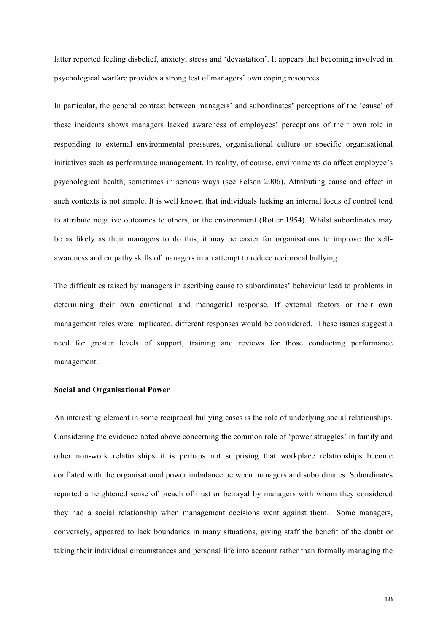latter reported feeling disbelief, anxiety, stress and 'devastation'. It appears that becoming involved in psychological warfare provides a strong test of managers' own coping resources.

In particular, the general contrast between managers' and subordinates' perceptions of the 'cause' of these incidents shows managers lacked awareness of employees' perceptions of their own role in responding to external environmental pressures, organisational culture or specific organisational initiatives such as performance management. In reality, of course, environments do affect employee's psychological health, sometimes in serious ways (see Felson 2006). Attributing cause and effect in such contexts is not simple. It is well known that individuals lacking an internal locus of control tend to attribute negative outcomes to others, or the environment (Rotter 1954). Whilst subordinates may be as likely as their managers to do this, it may be easier for organisations to improve the selfawareness and empathy skills of managers in an attempt to reduce reciprocal bullying.

The difficulties raised by managers in ascribing cause to subordinates' behaviour lead to problems in determining their own emotional and managerial response. If external factors or their own management roles were implicated, different responses would be considered. These issues suggest a need for greater levels of support, training and reviews for those conducting performance management.

### **Social and Organisational Power**

An interesting element in some reciprocal bullying cases is the role of underlying social relationships. Considering the evidence noted above concerning the common role of 'power struggles' in family and other non-work relationships it is perhaps not surprising that workplace relationships become conflated with the organisational power imbalance between managers and subordinates. Subordinates reported a heightened sense of breach of trust or betrayal by managers with whom they considered they had a social relationship when management decisions went against them. Some managers, conversely, appeared to lack boundaries in many situations, giving staff the benefit of the doubt or taking their individual circumstances and personal life into account rather than formally managing the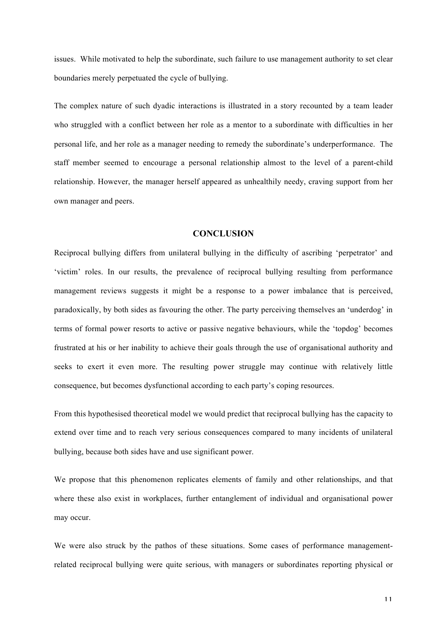issues. While motivated to help the subordinate, such failure to use management authority to set clear boundaries merely perpetuated the cycle of bullying.

The complex nature of such dyadic interactions is illustrated in a story recounted by a team leader who struggled with a conflict between her role as a mentor to a subordinate with difficulties in her personal life, and her role as a manager needing to remedy the subordinate's underperformance. The staff member seemed to encourage a personal relationship almost to the level of a parent-child relationship. However, the manager herself appeared as unhealthily needy, craving support from her own manager and peers.

## **CONCLUSION**

Reciprocal bullying differs from unilateral bullying in the difficulty of ascribing 'perpetrator' and 'victim' roles. In our results, the prevalence of reciprocal bullying resulting from performance management reviews suggests it might be a response to a power imbalance that is perceived, paradoxically, by both sides as favouring the other. The party perceiving themselves an 'underdog' in terms of formal power resorts to active or passive negative behaviours, while the 'topdog' becomes frustrated at his or her inability to achieve their goals through the use of organisational authority and seeks to exert it even more. The resulting power struggle may continue with relatively little consequence, but becomes dysfunctional according to each party's coping resources.

From this hypothesised theoretical model we would predict that reciprocal bullying has the capacity to extend over time and to reach very serious consequences compared to many incidents of unilateral bullying, because both sides have and use significant power.

We propose that this phenomenon replicates elements of family and other relationships, and that where these also exist in workplaces, further entanglement of individual and organisational power may occur.

We were also struck by the pathos of these situations. Some cases of performance managementrelated reciprocal bullying were quite serious, with managers or subordinates reporting physical or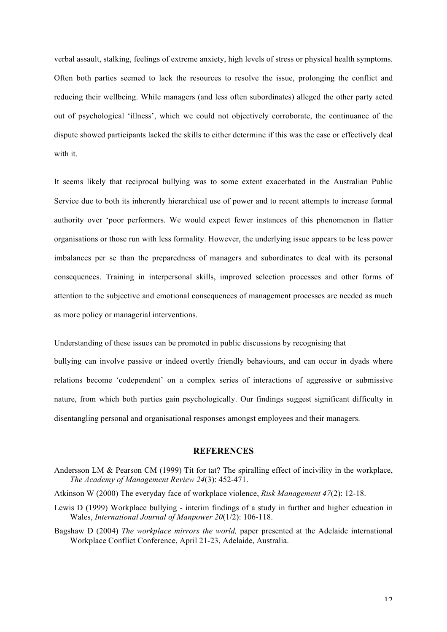verbal assault, stalking, feelings of extreme anxiety, high levels of stress or physical health symptoms. Often both parties seemed to lack the resources to resolve the issue, prolonging the conflict and reducing their wellbeing. While managers (and less often subordinates) alleged the other party acted out of psychological 'illness', which we could not objectively corroborate, the continuance of the dispute showed participants lacked the skills to either determine if this was the case or effectively deal with it.

It seems likely that reciprocal bullying was to some extent exacerbated in the Australian Public Service due to both its inherently hierarchical use of power and to recent attempts to increase formal authority over 'poor performers. We would expect fewer instances of this phenomenon in flatter organisations or those run with less formality. However, the underlying issue appears to be less power imbalances per se than the preparedness of managers and subordinates to deal with its personal consequences. Training in interpersonal skills, improved selection processes and other forms of attention to the subjective and emotional consequences of management processes are needed as much as more policy or managerial interventions.

Understanding of these issues can be promoted in public discussions by recognising that

bullying can involve passive or indeed overtly friendly behaviours, and can occur in dyads where relations become 'codependent' on a complex series of interactions of aggressive or submissive nature, from which both parties gain psychologically. Our findings suggest significant difficulty in disentangling personal and organisational responses amongst employees and their managers.

#### **REFERENCES**

- Andersson LM & Pearson CM (1999) Tit for tat? The spiralling effect of incivility in the workplace, *The Academy of Management Review 24*(3): 452-471.
- Atkinson W (2000) The everyday face of workplace violence, *Risk Management 47*(2): 12-18.
- Lewis D (1999) Workplace bullying interim findings of a study in further and higher education in Wales, *International Journal of Manpower 20*(1/2): 106-118.
- Bagshaw D (2004) *The workplace mirrors the world,* paper presented at the Adelaide international Workplace Conflict Conference, April 21-23, Adelaide, Australia.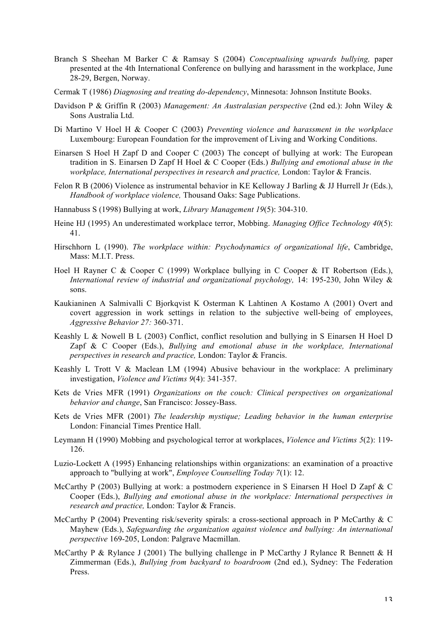- Branch S Sheehan M Barker C & Ramsay S (2004) *Conceptualising upwards bullying,* paper presented at the 4th International Conference on bullying and harassment in the workplace, June 28-29, Bergen, Norway.
- Cermak T (1986) *Diagnosing and treating do-dependency*, Minnesota: Johnson Institute Books.
- Davidson P & Griffin R (2003) *Management: An Australasian perspective* (2nd ed.): John Wiley & Sons Australia Ltd.
- Di Martino V Hoel H & Cooper C (2003) *Preventing violence and harassment in the workplace* Luxembourg: European Foundation for the improvement of Living and Working Conditions.
- Einarsen S Hoel H Zapf D and Cooper C (2003) The concept of bullying at work: The European tradition in S. Einarsen D Zapf H Hoel & C Cooper (Eds.) *Bullying and emotional abuse in the workplace, International perspectives in research and practice,* London: Taylor & Francis.
- Felon R B (2006) Violence as instrumental behavior in KE Kelloway J Barling & JJ Hurrell Jr (Eds.), *Handbook of workplace violence,* Thousand Oaks: Sage Publications.
- Hannabuss S (1998) Bullying at work, *Library Management 19*(5): 304-310.
- Heine HJ (1995) An underestimated workplace terror, Mobbing. *Managing Office Technology 40*(5): 41.
- Hirschhorn L (1990). *The workplace within: Psychodynamics of organizational life*, Cambridge, Mass: M.I.T. Press.
- Hoel H Rayner C & Cooper C (1999) Workplace bullying in C Cooper & IT Robertson (Eds.), *International review of industrial and organizational psychology,* 14: 195-230, John Wiley & sons.
- Kaukianinen A Salmivalli C Bjorkqvist K Osterman K Lahtinen A Kostamo A (2001) Overt and covert aggression in work settings in relation to the subjective well-being of employees, *Aggressive Behavior 27:* 360-371.
- Keashly L & Nowell B L (2003) Conflict, conflict resolution and bullying in S Einarsen H Hoel D Zapf & C Cooper (Eds.), *Bullying and emotional abuse in the workplace, International perspectives in research and practice,* London: Taylor & Francis.
- Keashly L Trott V & Maclean LM (1994) Abusive behaviour in the workplace: A preliminary investigation, *Violence and Victims 9*(4): 341-357.
- Kets de Vries MFR (1991) *Organizations on the couch: Clinical perspectives on organizational behavior and change*, San Francisco: Jossey-Bass.
- Kets de Vries MFR (2001) *The leadership mystique; Leading behavior in the human enterprise* London: Financial Times Prentice Hall.
- Leymann H (1990) Mobbing and psychological terror at workplaces, *Violence and Victims 5*(2): 119- 126.
- Luzio-Lockett A (1995) Enhancing relationships within organizations: an examination of a proactive approach to "bullying at work", *Employee Counselling Today 7*(1): 12.
- McCarthy P (2003) Bullying at work: a postmodern experience in S Einarsen H Hoel D Zapf & C Cooper (Eds.), *Bullying and emotional abuse in the workplace: International perspectives in research and practice,* London: Taylor & Francis.
- McCarthy P (2004) Preventing risk/severity spirals: a cross-sectional approach in P McCarthy & C Mayhew (Eds.), *Safeguarding the organization against violence and bullying: An international perspective* 169-205, London: Palgrave Macmillan.
- McCarthy P & Rylance J (2001) The bullying challenge in P McCarthy J Rylance R Bennett & H Zimmerman (Eds.), *Bullying from backyard to boardroom* (2nd ed.), Sydney: The Federation Press.